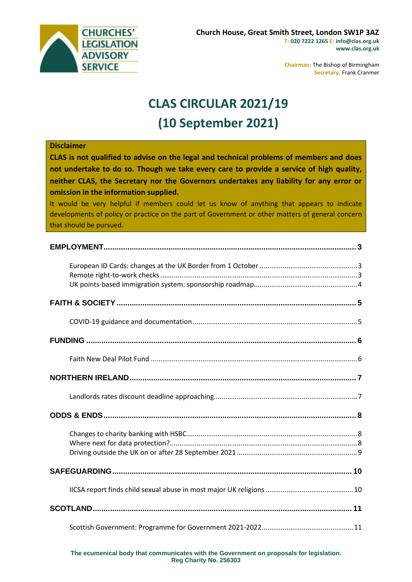

**Chairman:** The Bishop of Birmingham **Secretary:** Frank Cranmer

# **CLAS CIRCULAR 2021/19 (10 September 2021)**

#### **Disclaimer**

**CLAS is not qualified to advise on the legal and technical problems of members and does not undertake to do so. Though we take every care to provide a service of high quality, neither CLAS, the Secretary nor the Governors undertakes any liability for any error or omission in the information supplied.**

It would be very helpful if members could let us know of anything that appears to indicate developments of policy or practice on the part of Government or other matters of general concern that should be pursued.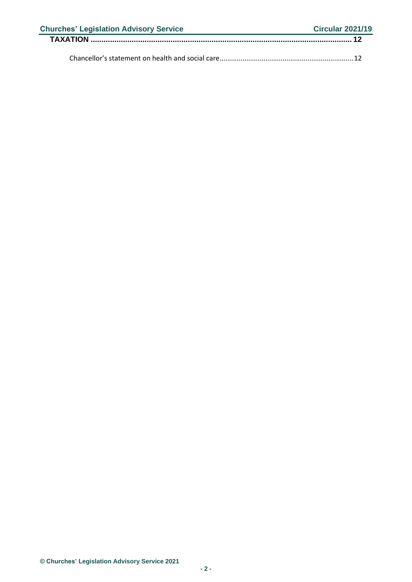| <b>Churches' Legislation Advisory Service</b> | <b>Circular 2021/19</b> |
|-----------------------------------------------|-------------------------|
|                                               |                         |
|                                               |                         |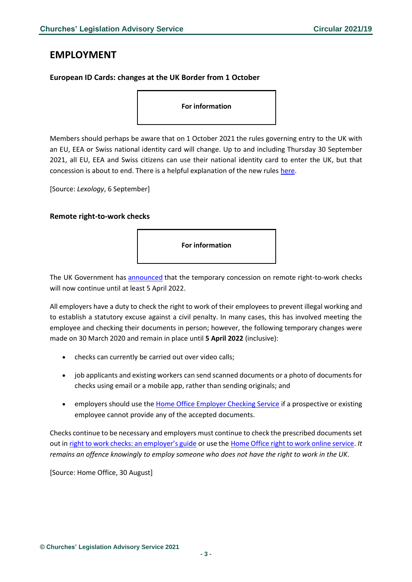### <span id="page-2-0"></span>**EMPLOYMENT**

### <span id="page-2-1"></span>**European ID Cards: changes at the UK Border from 1 October**

**For information**

Members should perhaps be aware that on 1 October 2021 the rules governing entry to the UK with an EU, EEA or Swiss national identity card will change. Up to and including Thursday 30 September 2021, all EU, EEA and Swiss citizens can use their national identity card to enter the UK, but that concession is about to end. There is a helpful explanation of the new rules [here.](https://www.lexology.com/library/detail.aspx?g=9f9b926d-f27a-4bc4-874e-792ee1b3c26b&utm_source=Lexology+Daily+Newsfeed&utm_medium=HTML+email+-+Body+-+General+section&utm_campaign=Lexology+subscriber+daily+feed&utm_content=Lexology+Daily+Newsfeed+2021-09-08&utm_term=)

[Source: *Lexology*, 6 September]

#### <span id="page-2-2"></span>**Remote right-to-work checks**



The UK Government has [announced](https://www.gov.uk/guidance/coronavirus-covid-19-right-to-work-checks) that the temporary concession on remote right-to-work checks will now continue until at least 5 April 2022.

All employers have a duty to check the right to work of their employees to prevent illegal working and to establish a statutory excuse against a civil penalty. In many cases, this has involved meeting the employee and checking their documents in person; however, the following temporary changes were made on 30 March 2020 and remain in place until **5 April 2022** (inclusive):

- checks can currently be carried out over video calls;
- job applicants and existing workers can send scanned documents or a photo of documents for checks using email or a mobile app, rather than sending originals; and
- employers should use the [Home Office Employer Checking Service](https://www.gov.uk/employee-immigration-employment-status) if a prospective or existing employee cannot provide any of the accepted documents.

Checks continue to be necessary and employers must continue to check the prescribed documents set out in [right to work checks: an employer's guide](https://www.gov.uk/government/collections/right-to-work-checks-employer-guidance) or use the [Home Office right to work online service.](https://www.gov.uk/view-right-to-work) *It remains an offence knowingly to employ someone who does not have the right to work in the UK*.

[Source: Home Office, 30 August]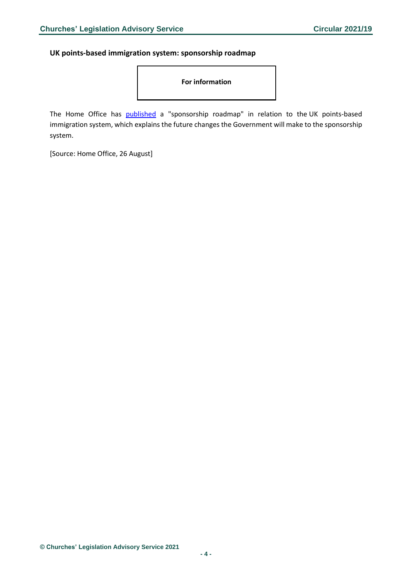#### <span id="page-3-0"></span>**UK points-based immigration system: sponsorship roadmap**

**For information**

The Home Office has **[published](https://www.gov.uk/government/publications/uk-points-based-immigration-system-sponsorship-roadmap?utm_medium=email&utm_campaign=govuk-notifications&utm_source=2a527f5a-1419-4f86-b277-ecbdc83d51ed&utm_content=daily)** a "sponsorship roadmap" in relation to the UK points-based immigration system, which explains the future changes the Government will make to the sponsorship system.

[Source: Home Office, 26 August]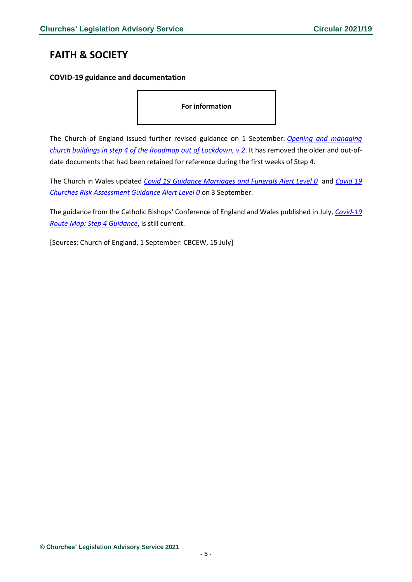# <span id="page-4-0"></span>**FAITH & SOCIETY**

### <span id="page-4-1"></span>**COVID-19 guidance and documentation**

**For information**

The Church of England issued further revised guidance on 1 September: *[Opening and managing](https://www.churchofengland.org/sites/default/files/2021-09/COVID%2019%20Guidance%20from%20the%2019th%20July%202021%20v2.0.pdf)  [church buildings in step 4 of the Roadmap out](https://www.churchofengland.org/sites/default/files/2021-09/COVID%2019%20Guidance%20from%20the%2019th%20July%202021%20v2.0.pdf) of Lockdown, v.2*. It has removed the older and out-ofdate documents that had been retained for reference during the first weeks of Step 4.

The Church in Wales updated *Covid [19 Guidance Marriages and Funerals Alert Level 0](https://www.churchinwales.org.uk/documents/2021/Covid_19_Guidance_Marriages_and_Funerals_Alert_Level_0_3SEPT20.pdf)* and *[Covid 19](https://www.churchinwales.org.uk/documents/2022/Covid_19_Churches_Risk_Assessment_Guidance_Alert_Level_0_-_3SEPT20.pdf)  [Churches Risk Assessment Guidance Alert Level 0](https://www.churchinwales.org.uk/documents/2022/Covid_19_Churches_Risk_Assessment_Guidance_Alert_Level_0_-_3SEPT20.pdf)* on 3 September.

The guidance from the Catholic Bishops' Conference of England and Wales published in July, *[Covid-19](https://www.cbcew.org.uk/wp-content/uploads/sites/3/2021/05/CBCEW-COVID-Step-4-Guidance-150721b.pdf)  [Route Map: Step 4 Guidance](https://www.cbcew.org.uk/wp-content/uploads/sites/3/2021/05/CBCEW-COVID-Step-4-Guidance-150721b.pdf)*, is still current.

[Sources: Church of England, 1 September: CBCEW, 15 July]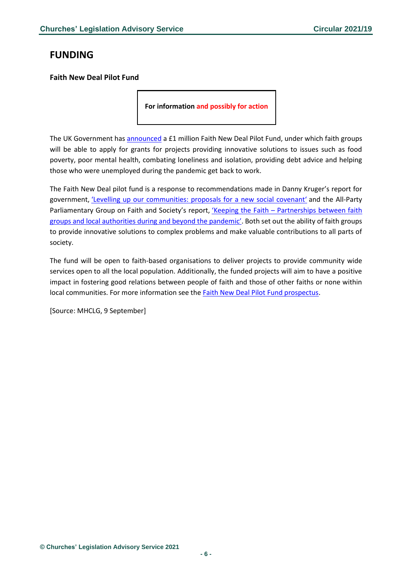# <span id="page-5-0"></span>**FUNDING**

#### <span id="page-5-1"></span>**Faith New Deal Pilot Fund**

**For information and possibly for action**

The UK Government has [announced](https://www.gov.uk/government/news/new-1-million-fund-to-help-faith-groups-support-communities) a £1 million Faith New Deal Pilot Fund, under which faith groups will be able to apply for grants for projects providing innovative solutions to issues such as food poverty, poor mental health, combating loneliness and isolation, providing debt advice and helping those who were unemployed during the pandemic get back to work.

The Faith New Deal pilot fund is a response to recommendations made in Danny Kruger's report for government, ['Levelling up our communities: proposals for a new social covenant'](https://www.dannykruger.org.uk/files/2020-09/Levelling%20Up%20Our%20Communities-Danny%20Kruger.pdf) and the All-Party Parliamentary Group on Faith and Society's report, 'Keeping the Faith - Partnerships between faith [groups and local authorities during and beyond t](https://www.faithandsociety.org/wp-content/uploads/APPG_CovidReport_Full_V4.pdf)he pandemic'. Both set out the ability of faith groups to provide innovative solutions to complex problems and make valuable contributions to all parts of society.

The fund will be open to faith-based organisations to deliver projects to provide community wide services open to all the local population. Additionally, the funded projects will aim to have a positive impact in fostering good relations between people of faith and those of other faiths or none within local communities. For more information see the [Faith New Deal Pilot Fund prospectus.](https://www.gov.uk/government/publications/faith-new-deal-pilot-fund)

[Source: MHCLG, 9 September]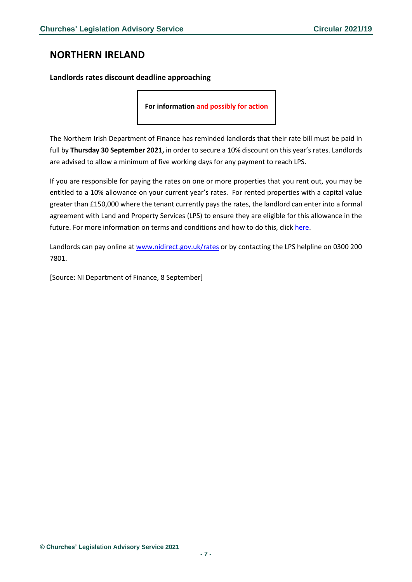## <span id="page-6-0"></span>**NORTHERN IRELAND**

<span id="page-6-1"></span>**Landlords rates discount deadline approaching**

**For information and possibly for action**

The Northern Irish Department of Finance has reminded landlords that their rate bill must be paid in full by **Thursday 30 September 2021,** in order to secure a 10% discount on this year's rates. Landlords are advised to allow a minimum of five working days for any payment to reach LPS.

If you are responsible for paying the rates on one or more properties that you rent out, you may be entitled to a 10% allowance on your current year's rates. For rented properties with a capital value greater than £150,000 where the tenant currently pays the rates, the landlord can enter into a formal agreement with Land and Property Services (LPS) to ensure they are eligible for this allowance in the future. For more information on terms and conditions and how to do this, click [here.](http://www.nidirect.gov.uk/rates-rental-properties)

Landlords can pay online at [www.nidirect.gov.uk/rates](http://www.nidirect.gov.uk/rates) or by contacting the LPS helpline on 0300 200 7801.

[Source: NI Department of Finance, 8 September]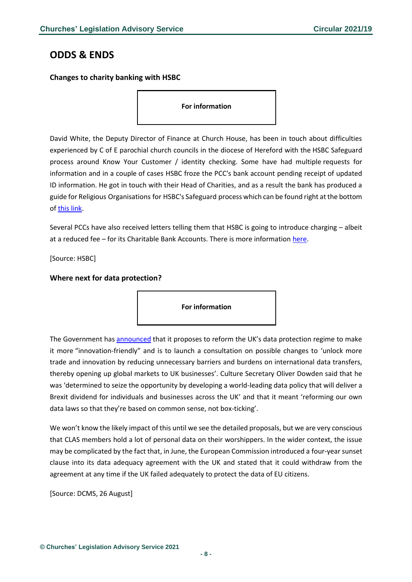## <span id="page-7-0"></span>**ODDS & ENDS**

<span id="page-7-1"></span>**Changes to charity banking with HSBC**

**For information**

David White, the Deputy Director of Finance at Church House, has been in touch about difficulties experienced by C of E parochial church councils in the diocese of Hereford with the HSBC Safeguard process around Know Your Customer / identity checking. Some have had multiple requests for information and in a couple of cases HSBC froze the PCC's bank account pending receipt of updated ID information. He got in touch with their Head of Charities, and as a result the bank has produced a guide for Religious Organisations for HSBC's Safeguard process which can be found right at the bottom o[f this link.](https://www.business.hsbc.uk/en-gb/gb/campaign/hsbc-safeguard)

Several PCCs have also received letters telling them that HSBC is going to introduce charging – albeit at a reduced fee – for its Charitable Bank Accounts. There is more informatio[n here.](https://www.business.hsbc.uk/charitablesupport)

[Source: HSBC]

#### <span id="page-7-2"></span>**Where next for data protection?**

**For information**

The Government has [announced](https://www.gov.uk/government/news/uk-unveils-post-brexit-global-data-plans-to-boost-growth-increase-trade-and-improve-healthcare) that it proposes to reform the UK's data protection regime to make it more "innovation-friendly" and is to launch a consultation on possible changes to 'unlock more trade and innovation by reducing unnecessary barriers and burdens on international data transfers, thereby opening up global markets to UK businesses'. Culture Secretary Oliver Dowden said that he was 'determined to seize the opportunity by developing a world-leading data policy that will deliver a Brexit dividend for individuals and businesses across the UK' and that it meant 'reforming our own data laws so that they're based on common sense, not box-ticking'.

We won't know the likely impact of this until we see the detailed proposals, but we are very conscious that CLAS members hold a lot of personal data on their worshippers. In the wider context, the issue may be complicated by the fact that, in June, the European Commission introduced a four-year sunset clause into its data adequacy agreement with the UK and stated that it could withdraw from the agreement at any time if the UK failed adequately to protect the data of EU citizens.

[Source: DCMS, 26 August]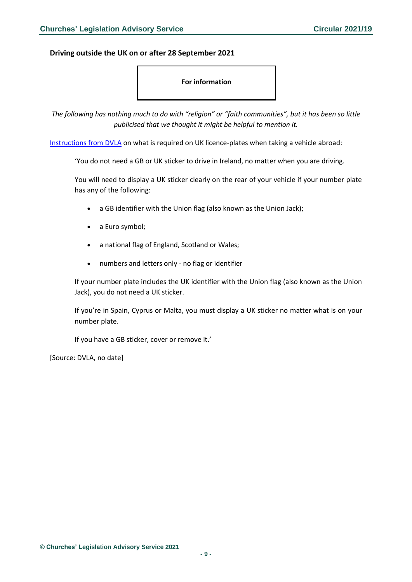#### <span id="page-8-0"></span>**Driving outside the UK on or after 28 September 2021**

#### **For information**

*The following has nothing much to do with "religion" or "faith communities", but it has been so little publicised that we thought it might be helpful to mention it.*

[Instructions from DVLA](https://www.gov.uk/displaying-number-plates/flags-symbols-and-identifiers) on what is required on UK licence-plates when taking a vehicle abroad:

'You do not need a GB or UK sticker to drive in Ireland, no matter when you are driving.

You will need to display a UK sticker clearly on the rear of your vehicle if your number plate has any of the following:

- a GB identifier with the Union flag (also known as the Union Jack);
- a Euro symbol;
- a national flag of England, Scotland or Wales;
- numbers and letters only no flag or identifier

If your number plate includes the UK identifier with the Union flag (also known as the Union Jack), you do not need a UK sticker.

If you're in Spain, Cyprus or Malta, you must display a UK sticker no matter what is on your number plate.

If you have a GB sticker, cover or remove it.'

[Source: DVLA, no date]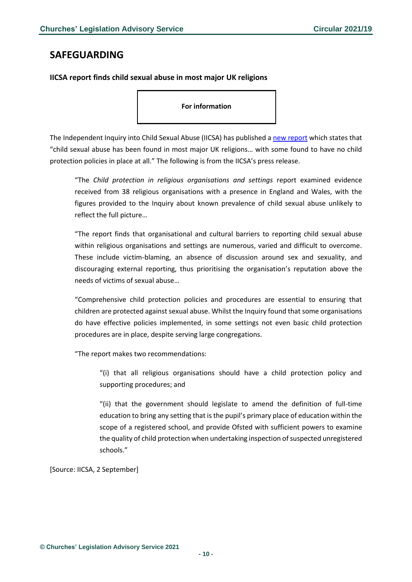### <span id="page-9-0"></span>**SAFEGUARDING**

<span id="page-9-1"></span>**IICSA report finds child sexual abuse in most major UK religions**

**For information**

The Independent Inquiry into Child Sexual Abuse (IICSA) has published [a new report](https://www.iicsa.org.uk/publications/investigation/child-protection-religious-organisations-settings) which states that "child sexual abuse has been found in most major UK religions… with some found to have no child protection policies in place at all." The following is from the IICSA's press release.

"The *Child protection in religious organisations and settings* report examined evidence received from 38 religious organisations with a presence in England and Wales, with the figures provided to the Inquiry about known prevalence of child sexual abuse unlikely to reflect the full picture…

"The report finds that organisational and cultural barriers to reporting child sexual abuse within religious organisations and settings are numerous, varied and difficult to overcome. These include victim-blaming, an absence of discussion around sex and sexuality, and discouraging external reporting, thus prioritising the organisation's reputation above the needs of victims of sexual abuse…

"Comprehensive child protection policies and procedures are essential to ensuring that children are protected against sexual abuse. Whilst the Inquiry found that some organisations do have effective policies implemented, in some settings not even basic child protection procedures are in place, despite serving large congregations.

"The report makes two recommendations:

"(i) that all religious organisations should have a child protection policy and supporting procedures; and

"(ii) that the government should legislate to amend the definition of full-time education to bring any setting that is the pupil's primary place of education within the scope of a registered school, and provide Ofsted with sufficient powers to examine the quality of child protection when undertaking inspection of suspected unregistered schools."

[Source: IICSA, 2 September]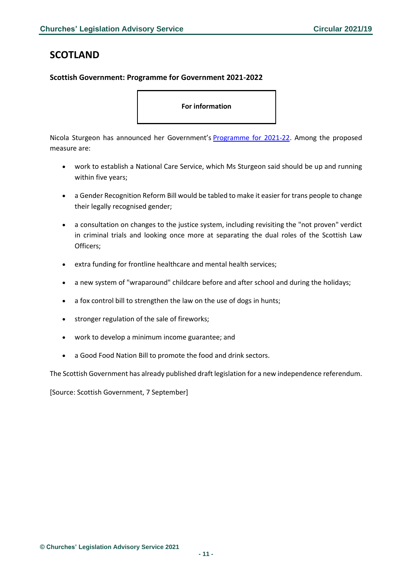# <span id="page-10-0"></span>**SCOTLAND**

#### <span id="page-10-1"></span>**Scottish Government: Programme for Government 2021-2022**

**For information**

Nicola Sturgeon has announced her Government's [Programme for 2021-22.](https://www.gov.scot/publications/first-minister-programme-government-2021-2022/) Among the proposed measure are:

- work to establish a National Care Service, which Ms Sturgeon said should be up and running within five years;
- a Gender Recognition Reform Bill would be tabled to make it easier for trans people to change their legally recognised gender;
- a consultation on changes to the justice system, including revisiting the "not proven" verdict in criminal trials and looking once more at separating the dual roles of the Scottish Law Officers;
- extra funding for frontline healthcare and mental health services;
- a new system of "wraparound" childcare before and after school and during the holidays;
- a fox control bill to strengthen the law on the use of dogs in hunts;
- stronger regulation of the sale of fireworks;
- work to develop a minimum income guarantee; and
- a Good Food Nation Bill to promote the food and drink sectors.

The Scottish Government has already published draft legislation for a new independence referendum.

[Source: Scottish Government, 7 September]